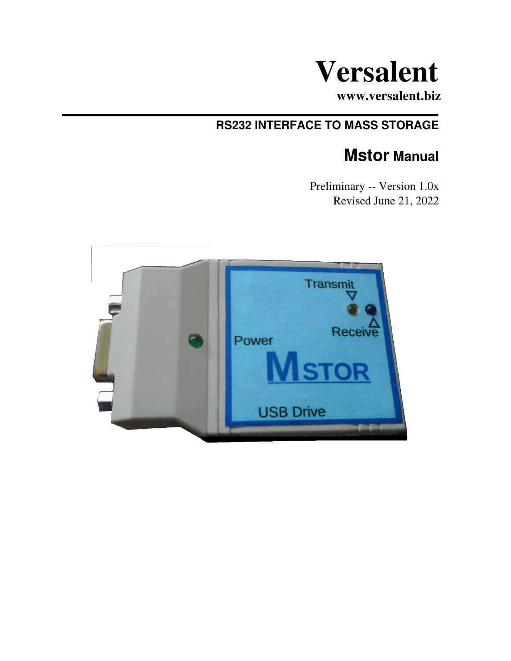

**www.versalent.biz**

# **RS232 INTERFACE TO MASS STORAGE**

# **Mstor Manual**

 Preliminary -- Version 1.0x Revised June 21, 2022

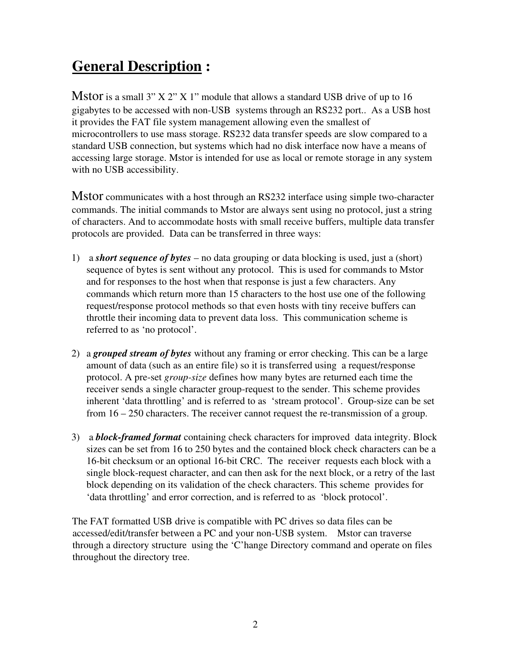# **General Description :**

Mstor is a small 3"  $X$  2"  $X$  1" module that allows a standard USB drive of up to 16 gigabytes to be accessed with non-USB systems through an RS232 port.. As a USB host it provides the FAT file system management allowing even the smallest of microcontrollers to use mass storage. RS232 data transfer speeds are slow compared to a standard USB connection, but systems which had no disk interface now have a means of accessing large storage. Mstor is intended for use as local or remote storage in any system with no USB accessibility.

Mstor communicates with a host through an RS232 interface using simple two-character commands. The initial commands to Mstor are always sent using no protocol, just a string of characters. And to accommodate hosts with small receive buffers, multiple data transfer protocols are provided. Data can be transferred in three ways:

- 1) a *short sequence of bytes* no data grouping or data blocking is used, just a (short) sequence of bytes is sent without any protocol. This is used for commands to Mstor and for responses to the host when that response is just a few characters. Any commands which return more than 15 characters to the host use one of the following request/response protocol methods so that even hosts with tiny receive buffers can throttle their incoming data to prevent data loss. This communication scheme is referred to as 'no protocol'.
- 2) a *grouped stream of bytes* without any framing or error checking. This can be a large amount of data (such as an entire file) so it is transferred using a request/response protocol. A pre-set *group-size* defines how many bytes are returned each time the receiver sends a single character group-request to the sender. This scheme provides inherent 'data throttling' and is referred to as 'stream protocol'. Group-size can be set from 16 – 250 characters. The receiver cannot request the re-transmission of a group.
- 3) a *block-framed format* containing check characters for improved data integrity. Block sizes can be set from 16 to 250 bytes and the contained block check characters can be a 16-bit checksum or an optional 16-bit CRC. The receiver requests each block with a single block-request character, and can then ask for the next block, or a retry of the last block depending on its validation of the check characters. This scheme provides for 'data throttling' and error correction, and is referred to as 'block protocol'.

The FAT formatted USB drive is compatible with PC drives so data files can be accessed/edit/transfer between a PC and your non-USB system. Mstor can traverse through a directory structure using the 'C'hange Directory command and operate on files throughout the directory tree.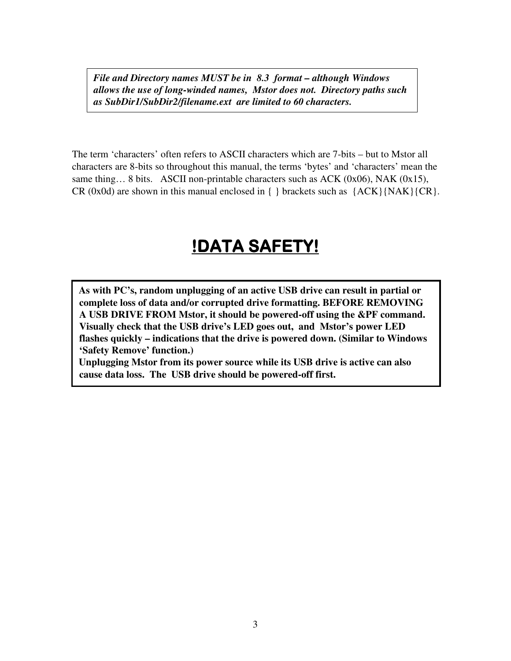*File and Directory names MUST be in 8.3 format – although Windows allows the use of long-winded names, Mstor does not. Directory paths such as SubDir1/SubDir2/filename.ext are limited to 60 characters.* 

The term 'characters' often refers to ASCII characters which are 7-bits – but to Mstor all characters are 8-bits so throughout this manual, the terms 'bytes' and 'characters' mean the same thing… 8 bits. ASCII non-printable characters such as ACK (0x06), NAK (0x15), CR (0x0d) are shown in this manual enclosed in  $\{\}$  brackets such as  $\{ACK\} \{NAK\}$  (CR).

# **!DATA SAFETY!**

**As with PC's, random unplugging of an active USB drive can result in partial or complete loss of data and/or corrupted drive formatting. BEFORE REMOVING A USB DRIVE FROM Mstor, it should be powered-off using the &PF command. Visually check that the USB drive's LED goes out, and Mstor's power LED flashes quickly – indications that the drive is powered down. (Similar to Windows 'Safety Remove' function.)** 

**Unplugging Mstor from its power source while its USB drive is active can also cause data loss. The USB drive should be powered-off first.**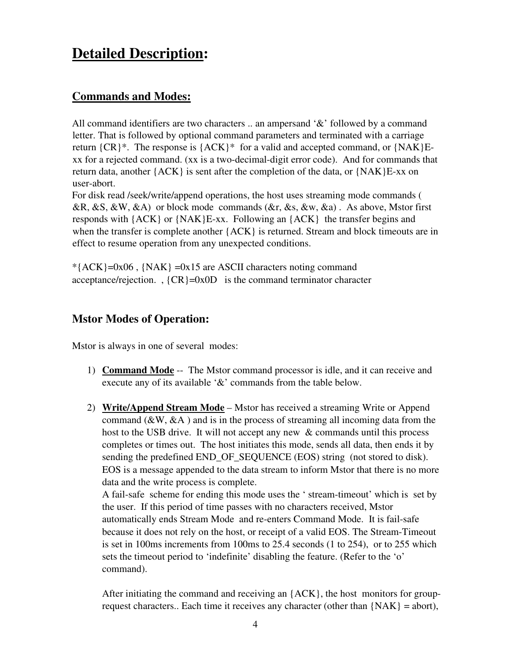# **Detailed Description:**

# **Commands and Modes:**

All command identifiers are two characters .. an ampersand '&' followed by a command letter. That is followed by optional command parameters and terminated with a carriage return  ${CR}^*$ . The response is  ${ACK}^*$  for a valid and accepted command, or  ${NAK}E$ xx for a rejected command. (xx is a two-decimal-digit error code). And for commands that return data, another {ACK} is sent after the completion of the data, or {NAK}E-xx on user-abort.

For disk read /seek/write/append operations, the host uses streaming mode commands (  $\&R, \&S, \&W, \&A)$  or block mode commands ( $&R, \&S, \&W, \&A)$ ). As above, Mstor first responds with {ACK} or {NAK}E-xx. Following an {ACK} the transfer begins and when the transfer is complete another {ACK} is returned. Stream and block timeouts are in effect to resume operation from any unexpected conditions.

 $*$ {ACK}=0x06, {NAK} =0x15 are ASCII characters noting command acceptance/rejection. ,  ${CR} = 0x0D$  is the command terminator character

# **Mstor Modes of Operation:**

Mstor is always in one of several modes:

- 1) **Command Mode** -- The Mstor command processor is idle, and it can receive and execute any of its available '&' commands from the table below.
- 2) **Write/Append Stream Mode** Mstor has received a streaming Write or Append command  $(\&\mathbf{W},\&\mathbf{A})$  and is in the process of streaming all incoming data from the host to the USB drive. It will not accept any new & commands until this process completes or times out. The host initiates this mode, sends all data, then ends it by sending the predefined END\_OF\_SEQUENCE (EOS) string (not stored to disk). EOS is a message appended to the data stream to inform Mstor that there is no more data and the write process is complete.

A fail-safe scheme for ending this mode uses the ' stream-timeout' which is set by the user. If this period of time passes with no characters received, Mstor automatically ends Stream Mode and re-enters Command Mode. It is fail-safe because it does not rely on the host, or receipt of a valid EOS. The Stream-Timeout is set in 100ms increments from 100ms to 25.4 seconds (1 to 254), or to 255 which sets the timeout period to 'indefinite' disabling the feature. (Refer to the 'o' command).

After initiating the command and receiving an {ACK}, the host monitors for grouprequest characters.. Each time it receives any character (other than  ${NAK} = abort$ ),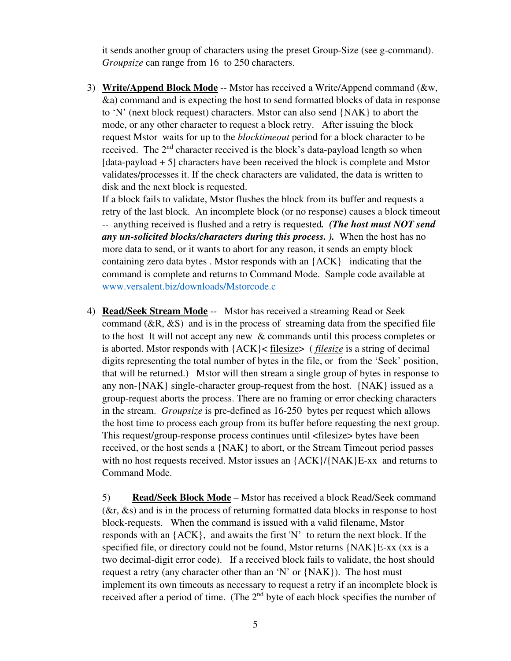it sends another group of characters using the preset Group-Size (see g-command). *Groupsize* can range from 16 to 250 characters.

3) **Write/Append Block Mode** -- Mstor has received a Write/Append command (&w, &a) command and is expecting the host to send formatted blocks of data in response to 'N' (next block request) characters. Mstor can also send {NAK} to abort the mode, or any other character to request a block retry. After issuing the block request Mstor waits for up to the *blocktimeout* period for a block character to be received. The  $2<sup>nd</sup>$  character received is the block's data-payload length so when  $[data-payload + 5]$  characters have been received the block is complete and Mstor validates/processes it. If the check characters are validated, the data is written to disk and the next block is requested.

If a block fails to validate, Mstor flushes the block from its buffer and requests a retry of the last block. An incomplete block (or no response) causes a block timeout -- anything received is flushed and a retry is requested*. (The host must NOT send any un-solicited blocks/characters during this process. ).* When the host has no more data to send, or it wants to abort for any reason, it sends an empty block containing zero data bytes . Mstor responds with an {ACK} indicating that the command is complete and returns to Command Mode. Sample code available at www.versalent.biz/downloads/Mstorcode.c

4) **Read/Seek Stream Mode** -- Mstor has received a streaming Read or Seek command  $(R, \& S)$  and is in the process of streaming data from the specified file to the host It will not accept any new & commands until this process completes or is aborted. Mstor responds with {ACK}< filesize> ( *filesize* is a string of decimal digits representing the total number of bytes in the file, or from the 'Seek' position, that will be returned.) Mstor will then stream a single group of bytes in response to any non-{NAK} single-character group-request from the host. {NAK} issued as a group-request aborts the process. There are no framing or error checking characters in the stream. *Groupsize* is pre-defined as 16-250 bytes per request which allows the host time to process each group from its buffer before requesting the next group. This request/group-response process continues until <filesize> bytes have been received, or the host sends a {NAK} to abort, or the Stream Timeout period passes with no host requests received. Mstor issues an  ${ACK}/ {NAK}E-xx$  and returns to Command Mode.

5) **Read/Seek Block Mode** – Mstor has received a block Read/Seek command (&r, &s) and is in the process of returning formatted data blocks in response to host block-requests. When the command is issued with a valid filename, Mstor responds with an  ${ACK}$ , and awaits the first 'N' to return the next block. If the specified file, or directory could not be found, Mstor returns {NAK}E-xx (xx is a two decimal-digit error code). If a received block fails to validate, the host should request a retry (any character other than an 'N' or {NAK}). The host must implement its own timeouts as necessary to request a retry if an incomplete block is received after a period of time. (The 2<sup>nd</sup> byte of each block specifies the number of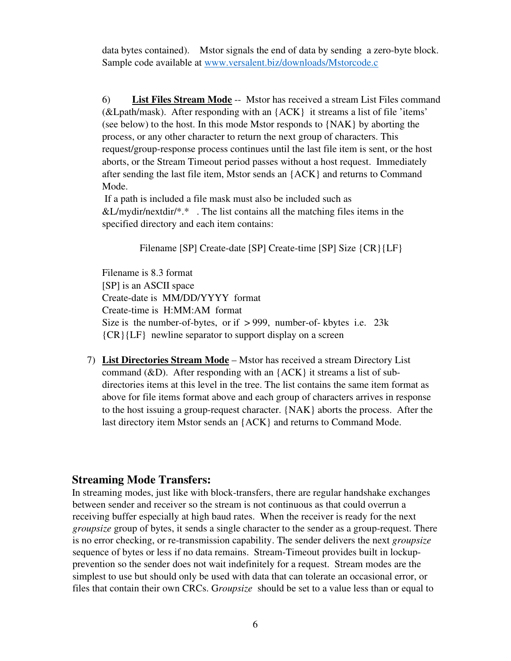data bytes contained). Mstor signals the end of data by sending a zero-byte block. Sample code available at www.versalent.biz/downloads/Mstorcode.c

6) **List Files Stream Mode** -- Mstor has received a stream List Files command (&Lpath/mask). After responding with an {ACK} it streams a list of file 'items' (see below) to the host. In this mode Mstor responds to {NAK} by aborting the process, or any other character to return the next group of characters. This request/group-response process continues until the last file item is sent, or the host aborts, or the Stream Timeout period passes without a host request. Immediately after sending the last file item, Mstor sends an {ACK} and returns to Command Mode.

 If a path is included a file mask must also be included such as  $&L/mydir/nextdir/*.*$ . The list contains all the matching files items in the specified directory and each item contains:

Filename [SP] Create-date [SP] Create-time [SP] Size {CR}{LF}

Filename is 8.3 format [SP] is an ASCII space Create-date is MM/DD/YYYY format Create-time is H:MM:AM format Size is the number-of-bytes, or if  $> 999$ , number-of-kbytes i.e. 23k {CR}{LF} newline separator to support display on a screen

7) **List Directories Stream Mode** – Mstor has received a stream Directory List command  $(\&D)$ . After responding with an  ${ACK}$  it streams a list of subdirectories items at this level in the tree. The list contains the same item format as above for file items format above and each group of characters arrives in response to the host issuing a group-request character. {NAK} aborts the process. After the last directory item Mstor sends an {ACK} and returns to Command Mode.

#### **Streaming Mode Transfers:**

In streaming modes, just like with block-transfers, there are regular handshake exchanges between sender and receiver so the stream is not continuous as that could overrun a receiving buffer especially at high baud rates. When the receiver is ready for the next *groupsize* group of bytes, it sends a single character to the sender as a group-request. There is no error checking, or re-transmission capability. The sender delivers the next *groupsize* sequence of bytes or less if no data remains. Stream-Timeout provides built in lockupprevention so the sender does not wait indefinitely for a request. Stream modes are the simplest to use but should only be used with data that can tolerate an occasional error, or files that contain their own CRCs. G*roupsize* should be set to a value less than or equal to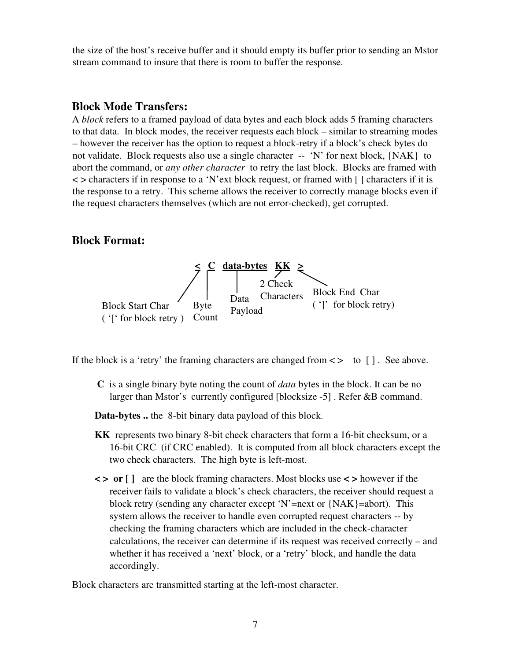the size of the host's receive buffer and it should empty its buffer prior to sending an Mstor stream command to insure that there is room to buffer the response.

#### **Block Mode Transfers:**

A *block* refers to a framed payload of data bytes and each block adds 5 framing characters to that data. In block modes, the receiver requests each block – similar to streaming modes – however the receiver has the option to request a block-retry if a block's check bytes do not validate. Block requests also use a single character -- 'N' for next block, {NAK} to abort the command, or *any other character* to retry the last block. Blocks are framed with  $\langle \rangle$  < > characters if in response to a 'N'ext block request, or framed with [ ] characters if it is the response to a retry. This scheme allows the receiver to correctly manage blocks even if the request characters themselves (which are not error-checked), get corrupted.

#### **Block Format:**



If the block is a 'retry' the framing characters are changed from  $\lt$  to  $\lceil \cdot \rceil$ . See above.

**C** is a single binary byte noting the count of *data* bytes in the block. It can be no larger than Mstor's currently configured [blocksize -5] . Refer &B command.

**Data-bytes ..** the 8-bit binary data payload of this block.

- **KK** represents two binary 8-bit check characters that form a 16-bit checksum, or a 16-bit CRC (if CRC enabled). It is computed from all block characters except the two check characters. The high byte is left-most.
- **< > or [ ]** are the block framing characters. Most blocks use **< >** however if the receiver fails to validate a block's check characters, the receiver should request a block retry (sending any character except 'N'=next or {NAK}=abort). This system allows the receiver to handle even corrupted request characters -- by checking the framing characters which are included in the check-character calculations, the receiver can determine if its request was received correctly – and whether it has received a 'next' block, or a 'retry' block, and handle the data accordingly.

Block characters are transmitted starting at the left-most character.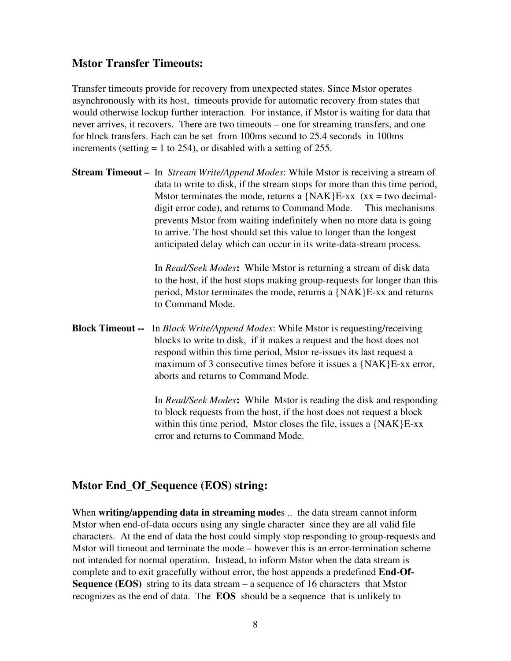#### **Mstor Transfer Timeouts:**

Transfer timeouts provide for recovery from unexpected states. Since Mstor operates asynchronously with its host, timeouts provide for automatic recovery from states that would otherwise lockup further interaction. For instance, if Mstor is waiting for data that never arrives, it recovers. There are two timeouts – one for streaming transfers, and one for block transfers. Each can be set from 100ms second to 25.4 seconds in 100ms increments (setting  $= 1$  to 254), or disabled with a setting of 255.

**Stream Timeout –** In *Stream Write/Append Modes*: While Mstor is receiving a stream of data to write to disk, if the stream stops for more than this time period, Mstor terminates the mode, returns a  $\{NAK\}E$ -xx (xx = two decimaldigit error code), and returns to Command Mode. This mechanisms prevents Mstor from waiting indefinitely when no more data is going to arrive. The host should set this value to longer than the longest anticipated delay which can occur in its write-data-stream process.

> In *Read/Seek Modes***:** While Mstor is returning a stream of disk data to the host, if the host stops making group-requests for longer than this period, Mstor terminates the mode, returns a {NAK}E-xx and returns to Command Mode.

**Block Timeout --** In *Block Write/Append Modes*: While Mstor is requesting/receiving blocks to write to disk, if it makes a request and the host does not respond within this time period, Mstor re-issues its last request a maximum of 3 consecutive times before it issues a {NAK}E-xx error, aborts and returns to Command Mode.

> In *Read/Seek Modes***:** While Mstor is reading the disk and responding to block requests from the host, if the host does not request a block within this time period, Mstor closes the file, issues a {NAK}E-xx error and returns to Command Mode.

# **Mstor End\_Of\_Sequence (EOS) string:**

When **writing/appending data in streaming mode**s .. the data stream cannot inform Mstor when end-of-data occurs using any single character since they are all valid file characters. At the end of data the host could simply stop responding to group-requests and Mstor will timeout and terminate the mode – however this is an error-termination scheme not intended for normal operation. Instead, to inform Mstor when the data stream is complete and to exit gracefully without error, the host appends a predefined **End-Of-Sequence (EOS)** string to its data stream – a sequence of 16 characters that Mstor recognizes as the end of data. The **EOS** should be a sequence that is unlikely to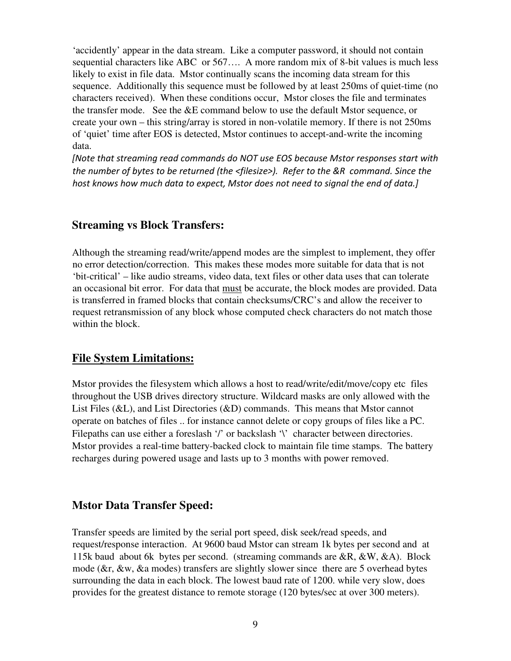'accidently' appear in the data stream. Like a computer password, it should not contain sequential characters like ABC or 567…. A more random mix of 8-bit values is much less likely to exist in file data. Mstor continually scans the incoming data stream for this sequence. Additionally this sequence must be followed by at least 250ms of quiet-time (no characters received). When these conditions occur, Mstor closes the file and terminates the transfer mode. See the &E command below to use the default Mstor sequence, or create your own – this string/array is stored in non-volatile memory. If there is not 250ms of 'quiet' time after EOS is detected, Mstor continues to accept-and-write the incoming data.

*[Note that streaming read commands do NOT use EOS because Mstor responses start with the number of bytes to be returned (the <filesize>). Refer to the &R command. Since the host knows how much data to expect, Mstor does not need to signal the end of data.]*

#### **Streaming vs Block Transfers:**

Although the streaming read/write/append modes are the simplest to implement, they offer no error detection/correction. This makes these modes more suitable for data that is not 'bit-critical' – like audio streams, video data, text files or other data uses that can tolerate an occasional bit error. For data that must be accurate, the block modes are provided. Data is transferred in framed blocks that contain checksums/CRC's and allow the receiver to request retransmission of any block whose computed check characters do not match those within the block.

#### **File System Limitations:**

Mstor provides the filesystem which allows a host to read/write/edit/move/copy etc files throughout the USB drives directory structure. Wildcard masks are only allowed with the List Files (&L), and List Directories (&D) commands. This means that Mstor cannot operate on batches of files .. for instance cannot delete or copy groups of files like a PC. Filepaths can use either a foreslash '/' or backslash '\' character between directories. Mstor provides a real-time battery-backed clock to maintain file time stamps. The battery recharges during powered usage and lasts up to 3 months with power removed.

#### **Mstor Data Transfer Speed:**

Transfer speeds are limited by the serial port speed, disk seek/read speeds, and request/response interaction. At 9600 baud Mstor can stream 1k bytes per second and at 115k baud about 6k bytes per second. (streaming commands are &R, &W, &A). Block mode (&r, &w, &a modes) transfers are slightly slower since there are 5 overhead bytes surrounding the data in each block. The lowest baud rate of 1200. while very slow, does provides for the greatest distance to remote storage (120 bytes/sec at over 300 meters).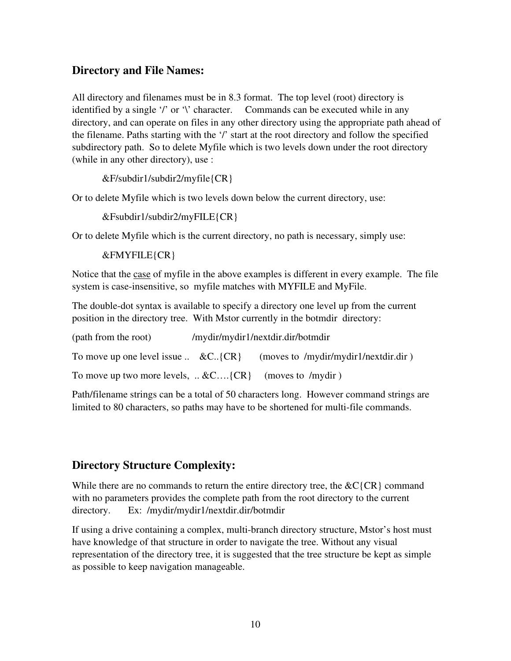# **Directory and File Names:**

All directory and filenames must be in 8.3 format. The top level (root) directory is identified by a single '/' or '\' character. Commands can be executed while in any directory, and can operate on files in any other directory using the appropriate path ahead of the filename. Paths starting with the '/' start at the root directory and follow the specified subdirectory path. So to delete Myfile which is two levels down under the root directory (while in any other directory), use :

&F/subdir1/subdir2/myfile{CR}

Or to delete Myfile which is two levels down below the current directory, use:

&Fsubdir1/subdir2/myFILE{CR}

Or to delete Myfile which is the current directory, no path is necessary, simply use:

&FMYFILE{CR}

Notice that the case of myfile in the above examples is different in every example. The file system is case-insensitive, so myfile matches with MYFILE and MyFile.

The double-dot syntax is available to specify a directory one level up from the current position in the directory tree. With Mstor currently in the botmdir directory:

| (path from the root)                                           | /mydir/mydir1/nextdir.dir/botmdir    |
|----------------------------------------------------------------|--------------------------------------|
| To move up one level issue $\ldots \&C.\$ {CR}                 | (moves to /mydir/mydir1/nextdir.dir) |
| To move up two more levels, $\ldots$ &C {CR} (moves to /mydir) |                                      |

Path/filename strings can be a total of 50 characters long. However command strings are limited to 80 characters, so paths may have to be shortened for multi-file commands.

#### **Directory Structure Complexity:**

While there are no commands to return the entire directory tree, the  $\&C{CR}$  command with no parameters provides the complete path from the root directory to the current directory. Ex: /mydir/mydir1/nextdir.dir/botmdir

If using a drive containing a complex, multi-branch directory structure, Mstor's host must have knowledge of that structure in order to navigate the tree. Without any visual representation of the directory tree, it is suggested that the tree structure be kept as simple as possible to keep navigation manageable.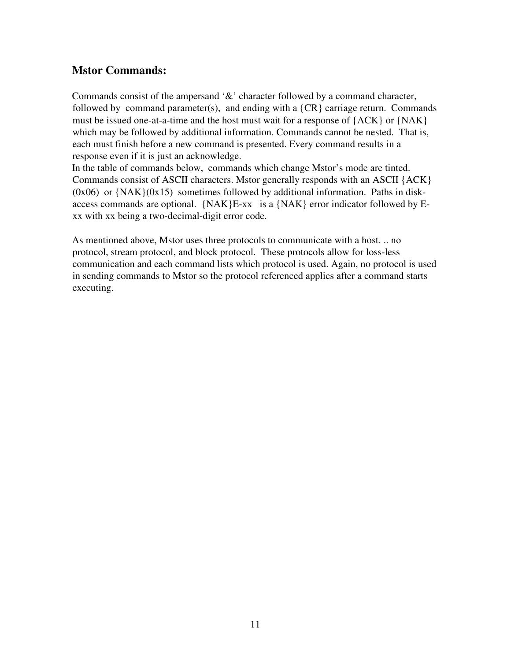# **Mstor Commands:**

Commands consist of the ampersand '&' character followed by a command character, followed by command parameter(s), and ending with a  ${CR}$  carriage return. Commands must be issued one-at-a-time and the host must wait for a response of {ACK} or {NAK} which may be followed by additional information. Commands cannot be nested. That is, each must finish before a new command is presented. Every command results in a response even if it is just an acknowledge.

In the table of commands below, commands which change Mstor's mode are tinted. Commands consist of ASCII characters. Mstor generally responds with an ASCII {ACK}  $(0x06)$  or  $\{NAK\}(0x15)$  sometimes followed by additional information. Paths in diskaccess commands are optional.  $\{NAK\}E\text{-}xx$  is a  $\{NAK\}$  error indicator followed by Exx with xx being a two-decimal-digit error code.

As mentioned above, Mstor uses three protocols to communicate with a host. .. no protocol, stream protocol, and block protocol. These protocols allow for loss-less communication and each command lists which protocol is used. Again, no protocol is used in sending commands to Mstor so the protocol referenced applies after a command starts executing.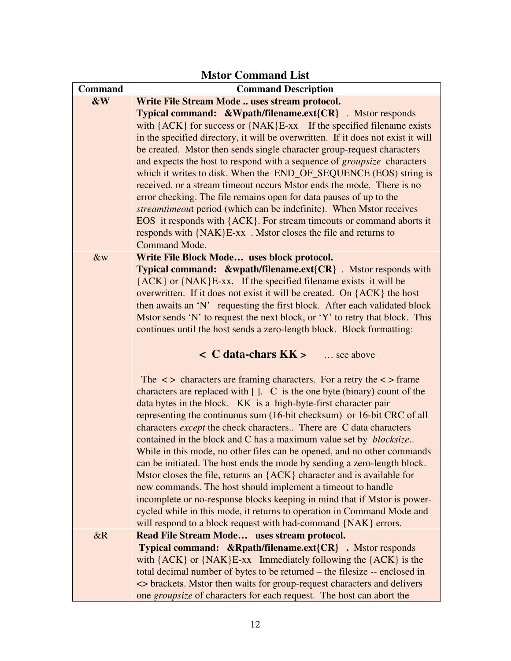|                | <b>Mstor Command List</b>                                                                                                                                                    |  |
|----------------|------------------------------------------------------------------------------------------------------------------------------------------------------------------------------|--|
| <b>Command</b> | <b>Command Description</b>                                                                                                                                                   |  |
| &W             | Write File Stream Mode  uses stream protocol.                                                                                                                                |  |
|                | <b>Typical command: &amp;Wpath/filename.ext{CR}</b> . Mstor responds                                                                                                         |  |
|                | with ${ACK}$ for success or ${NAK}E$ -xx If the specified filename exists                                                                                                    |  |
|                | in the specified directory, it will be overwritten. If it does not exist it will                                                                                             |  |
|                | be created. Mstor then sends single character group-request characters                                                                                                       |  |
|                | and expects the host to respond with a sequence of <i>groupsize</i> characters                                                                                               |  |
|                | which it writes to disk. When the END_OF_SEQUENCE (EOS) string is                                                                                                            |  |
|                | received, or a stream timeout occurs Mstor ends the mode. There is no                                                                                                        |  |
|                | error checking. The file remains open for data pauses of up to the                                                                                                           |  |
|                | streamtimeout period (which can be indefinite). When Mstor receives                                                                                                          |  |
|                | EOS it responds with {ACK}. For stream timeouts or command aborts it                                                                                                         |  |
|                | responds with {NAK}E-xx. Mstor closes the file and returns to                                                                                                                |  |
|                | Command Mode.                                                                                                                                                                |  |
| &w             | Write File Block Mode uses block protocol.                                                                                                                                   |  |
|                | <b>Typical command:</b> $\&$ wpath/filename.ext $\{CR\}$ . Mstor responds with                                                                                               |  |
|                | ${ACK}$ or ${NAK}E$ -xx. If the specified filename exists it will be                                                                                                         |  |
|                | overwritten. If it does not exist it will be created. On {ACK} the host                                                                                                      |  |
|                | then awaits an 'N' requesting the first block. After each validated block                                                                                                    |  |
|                | Mstor sends 'N' to request the next block, or 'Y' to retry that block. This                                                                                                  |  |
|                | continues until the host sends a zero-length block. Block formatting:                                                                                                        |  |
|                |                                                                                                                                                                              |  |
|                | $\angle$ C data-chars KK $>$<br>see above                                                                                                                                    |  |
|                |                                                                                                                                                                              |  |
|                | The $\langle \rangle$ characters are framing characters. For a retry the $\langle \rangle$ frame<br>characters are replaced with []. C is the one byte (binary) count of the |  |
|                | data bytes in the block. KK is a high-byte-first character pair                                                                                                              |  |
|                | representing the continuous sum (16-bit checksum) or 16-bit CRC of all                                                                                                       |  |
|                | characters <i>except</i> the check characters There are C data characters                                                                                                    |  |
|                | contained in the block and C has a maximum value set by <i>blocksize</i>                                                                                                     |  |
|                | While in this mode, no other files can be opened, and no other commands                                                                                                      |  |
|                | can be initiated. The host ends the mode by sending a zero-length block.                                                                                                     |  |
|                | Mstor closes the file, returns an {ACK} character and is available for                                                                                                       |  |
|                | new commands. The host should implement a timeout to handle                                                                                                                  |  |
|                | incomplete or no-response blocks keeping in mind that if Mstor is power-                                                                                                     |  |
|                | cycled while in this mode, it returns to operation in Command Mode and                                                                                                       |  |
|                | will respond to a block request with bad-command {NAK} errors.                                                                                                               |  |
| &R             | Read File Stream Mode uses stream protocol.                                                                                                                                  |  |
|                | Typical command: &Rpath/filename.ext{CR} . Mstor responds                                                                                                                    |  |
|                | with ${ACK}$ or ${NAK}E$ -xx Immediately following the ${ACK}$ is the                                                                                                        |  |
|                | total decimal number of bytes to be returned – the filesize -- enclosed in                                                                                                   |  |
|                | <> brackets. Mstor then waits for group-request characters and delivers                                                                                                      |  |
|                | one groupsize of characters for each request. The host can abort the                                                                                                         |  |

#### **Mstor Command List**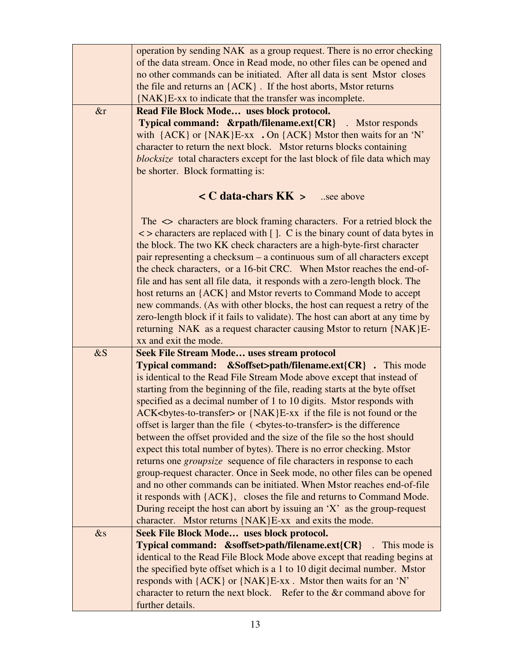|        | operation by sending NAK as a group request. There is no error checking         |
|--------|---------------------------------------------------------------------------------|
|        | of the data stream. Once in Read mode, no other files can be opened and         |
|        | no other commands can be initiated. After all data is sent Mstor closes         |
|        | the file and returns an {ACK}. If the host aborts, Mstor returns                |
|        | {NAK}E-xx to indicate that the transfer was incomplete.                         |
| &r     | Read File Block Mode uses block protocol.                                       |
|        | <b>Typical command: &amp;rpath/filename.ext{CR}</b> . Mstor responds            |
|        | with ${ACK}$ or ${NAK}E-xx$ . On ${ACK}$ Mstor then waits for an 'N'            |
|        | character to return the next block. Mstor returns blocks containing             |
|        | blocksize total characters except for the last block of file data which may     |
|        | be shorter. Block formatting is:                                                |
|        | $\angle C$ data-chars $KK >$ see above                                          |
|        |                                                                                 |
|        | The $\leq$ characters are block framing characters. For a retried block the     |
|        | $\le$ > characters are replaced with []. C is the binary count of data bytes in |
|        | the block. The two KK check characters are a high-byte-first character          |
|        | pair representing a checksum – a continuous sum of all characters except        |
|        | the check characters, or a 16-bit CRC. When Mstor reaches the end-of-           |
|        | file and has sent all file data, it responds with a zero-length block. The      |
|        | host returns an {ACK} and Mstor reverts to Command Mode to accept               |
|        | new commands. (As with other blocks, the host can request a retry of the        |
|        | zero-length block if it fails to validate). The host can abort at any time by   |
|        | returning NAK as a request character causing Mstor to return {NAK}E-            |
|        | xx and exit the mode.                                                           |
| $\&S$  | <b>Seek File Stream Mode uses stream protocol</b>                               |
|        | Typical command: &Soffset>path/filename.ext{CR} . This mode                     |
|        | is identical to the Read File Stream Mode above except that instead of          |
|        | starting from the beginning of the file, reading starts at the byte offset      |
|        | specified as a decimal number of 1 to 10 digits. Mstor responds with            |
|        | ACK<br>bytes-to-transfer> or {NAK}E-xx if the file is not found or the          |
|        | offset is larger than the file (<br>bytes-to-transfer> is the difference        |
|        | between the offset provided and the size of the file so the host should         |
|        | expect this total number of bytes). There is no error checking. Mstor           |
|        | returns one <i>groupsize</i> sequence of file characters in response to each    |
|        | group-request character. Once in Seek mode, no other files can be opened        |
|        | and no other commands can be initiated. When Mstor reaches end-of-file          |
|        | it responds with {ACK}, closes the file and returns to Command Mode.            |
|        | During receipt the host can abort by issuing an 'X' as the group-request        |
|        | character. Mstor returns {NAK}E-xx and exits the mode.                          |
| $\&$ s | Seek File Block Mode uses block protocol.                                       |
|        | Typical command: &soffset>path/filename.ext{CR}<br>$\therefore$ This mode is    |
|        | identical to the Read File Block Mode above except that reading begins at       |
|        | the specified byte offset which is a 1 to 10 digit decimal number. Mstor        |
|        | responds with {ACK} or {NAK}E-xx. Mstor then waits for an 'N'                   |
|        | character to return the next block. Refer to the &r command above for           |
|        | further details.                                                                |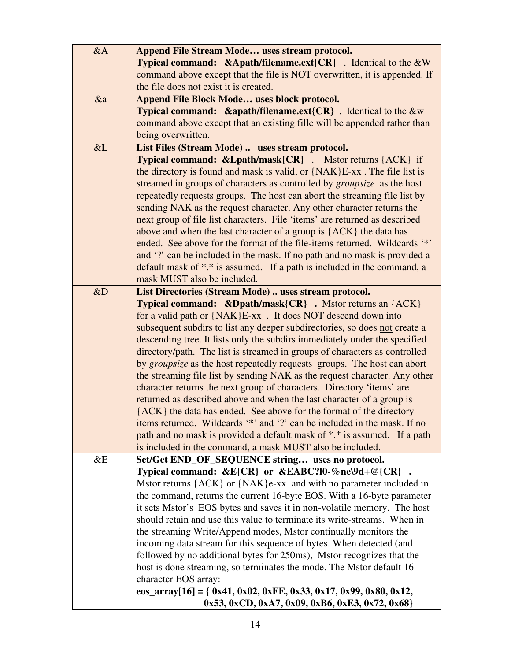| &AA | <b>Append File Stream Mode uses stream protocol.</b>                                      |
|-----|-------------------------------------------------------------------------------------------|
|     | <b>Typical command:</b> $\&$ Apath/filename.ext{CR} . Identical to the $\&$ W             |
|     | command above except that the file is NOT overwritten, it is appended. If                 |
|     | the file does not exist it is created.                                                    |
| &a  | Append File Block Mode uses block protocol.                                               |
|     | Typical command: &apath/filename.ext{CR} . Identical to the &w                            |
|     | command above except that an existing fille will be appended rather than                  |
|     | being overwritten.                                                                        |
| &L  | List Files (Stream Mode)  uses stream protocol.                                           |
|     | <b>Typical command: &amp;Lpath/mask{CR}</b> . Mstor returns {ACK} if                      |
|     | the directory is found and mask is valid, or $\{NAK\}E$ -xx. The file list is             |
|     | streamed in groups of characters as controlled by <i>groupsize</i> as the host            |
|     | repeatedly requests groups. The host can abort the streaming file list by                 |
|     | sending NAK as the request character. Any other character returns the                     |
|     | next group of file list characters. File 'items' are returned as described                |
|     | above and when the last character of a group is {ACK} the data has                        |
|     | ended. See above for the format of the file-items returned. Wildcards '*'                 |
|     | and '?' can be included in the mask. If no path and no mask is provided a                 |
|     | default mask of *.* is assumed. If a path is included in the command, a                   |
|     | mask MUST also be included.                                                               |
| &D  | List Directories (Stream Mode)  uses stream protocol.                                     |
|     | <b>Typical command:</b> $\&$ <b>Dpath/mask{CR}</b> . Mstor returns an $\{ACK\}$           |
|     | for a valid path or $\{NAK\}E$ -xx. It does NOT descend down into                         |
|     | subsequent subdirs to list any deeper subdirectories, so does not create a                |
|     | descending tree. It lists only the subdirs immediately under the specified                |
|     | directory/path. The list is streamed in groups of characters as controlled                |
|     | by groupsize as the host repeatedly requests groups. The host can abort                   |
|     | the streaming file list by sending NAK as the request character. Any other                |
|     | character returns the next group of characters. Directory 'items' are                     |
|     | returned as described above and when the last character of a group is                     |
|     | {ACK} the data has ended. See above for the format of the directory                       |
|     | items returned. Wildcards '*' and '?' can be included in the mask. If no                  |
|     | path and no mask is provided a default mask of *.* is assumed. If a path                  |
|     | is included in the command, a mask MUST also be included.                                 |
| &E  | Set/Get END_OF_SEQUENCE string uses no protocol.                                          |
|     | Typical command: $\&E{CR}$ or $\&EABC$ ?10-%ne\9d+@{CR}.                                  |
|     | Mstor returns ${ACK}$ or ${NAK}$ e-xx and with no parameter included in                   |
|     | the command, returns the current 16-byte EOS. With a 16-byte parameter                    |
|     | it sets Mstor's EOS bytes and saves it in non-volatile memory. The host                   |
|     | should retain and use this value to terminate its write-streams. When in                  |
|     | the streaming Write/Append modes, Mstor continually monitors the                          |
|     | incoming data stream for this sequence of bytes. When detected (and                       |
|     | followed by no additional bytes for 250ms), Mstor recognizes that the                     |
|     | host is done streaming, so terminates the mode. The Mstor default 16-                     |
|     | character EOS array:                                                                      |
|     | eos_array[16] = { $0x41$ , $0x02$ , $0xFE$ , $0x33$ , $0x17$ , $0x99$ , $0x80$ , $0x12$ , |
|     | 0x53, 0xCD, 0xA7, 0x09, 0xB6, 0xE3, 0x72, 0x68}                                           |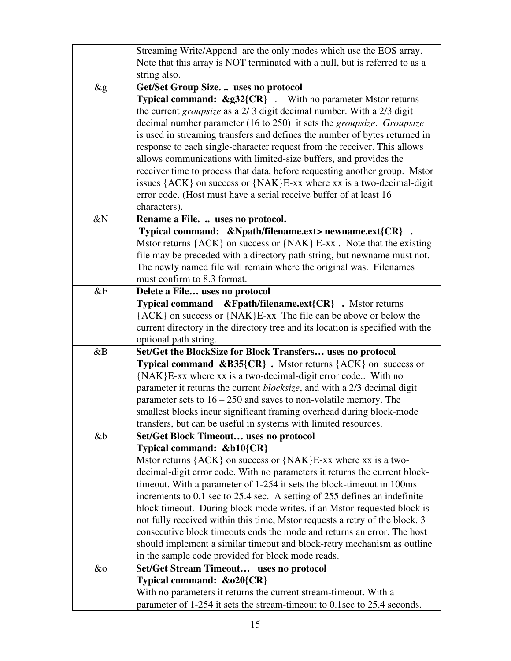|        | Streaming Write/Append are the only modes which use the EOS array.               |  |
|--------|----------------------------------------------------------------------------------|--|
|        | Note that this array is NOT terminated with a null, but is referred to as a      |  |
|        | string also.                                                                     |  |
| $\&g$  | Get/Set Group Size.  uses no protocol                                            |  |
|        | <b>Typical command: &amp;g32{CR}</b> . With no parameter Mstor returns           |  |
|        | the current <i>groupsize</i> as a 2/3 digit decimal number. With a 2/3 digit     |  |
|        | decimal number parameter (16 to 250) it sets the groupsize. Groupsize            |  |
|        | is used in streaming transfers and defines the number of bytes returned in       |  |
|        | response to each single-character request from the receiver. This allows         |  |
|        | allows communications with limited-size buffers, and provides the                |  |
|        | receiver time to process that data, before requesting another group. Mstor       |  |
|        | issues ${ACK}$ on success or ${NAK}E$ -xx where xx is a two-decimal-digit        |  |
|        |                                                                                  |  |
|        | error code. (Host must have a serial receive buffer of at least 16               |  |
|        | characters).                                                                     |  |
| &Ν     | Rename a File.  uses no protocol.                                                |  |
|        | Typical command: &Npath/filename.ext> newname.ext{CR}.                           |  |
|        | Mstor returns ${ACK}$ on success or ${NAK}$ E-xx. Note that the existing         |  |
|        | file may be preceded with a directory path string, but newname must not.         |  |
|        | The newly named file will remain where the original was. Filenames               |  |
|        | must confirm to 8.3 format.                                                      |  |
| &F     | Delete a File uses no protocol                                                   |  |
|        | <b>Typical command</b><br>$\&$ Fpath/filename.ext $\{CR\}$ . Mstor returns       |  |
|        | {ACK} on success or {NAK}E-xx The file can be above or below the                 |  |
|        | current directory in the directory tree and its location is specified with the   |  |
|        | optional path string.                                                            |  |
| &B     | Set/Get the BlockSize for Block Transfers uses no protocol                       |  |
|        | <b>Typical command &amp;B35{CR}</b> . Mstor returns ${ACK}$ on success or        |  |
|        | {NAK}E-xx where xx is a two-decimal-digit error code With no                     |  |
|        | parameter it returns the current <i>blocksize</i> , and with a 2/3 decimal digit |  |
|        | parameter sets to $16 - 250$ and saves to non-volatile memory. The               |  |
|        | smallest blocks incur significant framing overhead during block-mode             |  |
|        | transfers, but can be useful in systems with limited resources.                  |  |
| &b     | <b>Set/Get Block Timeout uses no protocol</b>                                    |  |
|        | Typical command: &b10{CR}                                                        |  |
|        | Mstor returns {ACK} on success or {NAK}E-xx where xx is a two-                   |  |
|        | decimal-digit error code. With no parameters it returns the current block-       |  |
|        | time out. With a parameter of 1-254 it sets the block-time out in 100ms          |  |
|        | increments to 0.1 sec to 25.4 sec. A setting of 255 defines an indefinite        |  |
|        | block timeout. During block mode writes, if an Mstor-requested block is          |  |
|        | not fully received within this time, Mstor requests a retry of the block. 3      |  |
|        | consecutive block timeouts ends the mode and returns an error. The host          |  |
|        | should implement a similar timeout and block-retry mechanism as outline          |  |
|        | in the sample code provided for block mode reads.                                |  |
| $\&$ o | <b>Set/Get Stream Timeout</b> uses no protocol                                   |  |
|        | Typical command: &o20{CR}                                                        |  |
|        | With no parameters it returns the current stream-timeout. With a                 |  |
|        | parameter of 1-254 it sets the stream-timeout to 0.1sec to 25.4 seconds.         |  |
|        |                                                                                  |  |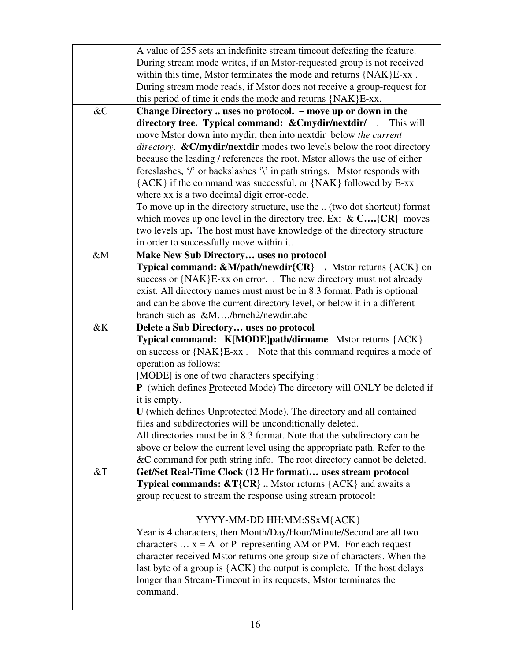|                | A value of 255 sets an indefinite stream time out defeating the feature.              |
|----------------|---------------------------------------------------------------------------------------|
|                | During stream mode writes, if an Mstor-requested group is not received                |
|                | within this time, Mstor terminates the mode and returns {NAK}E-xx.                    |
|                | During stream mode reads, if Mstor does not receive a group-request for               |
|                | this period of time it ends the mode and returns {NAK}E-xx.                           |
| & <sub>C</sub> | Change Directory  uses no protocol. - move up or down in the                          |
|                | directory tree. Typical command: & Cmydir/nextdir/ . This will                        |
|                | move Mstor down into mydir, then into nextdir below the current                       |
|                | <i>directory.</i> & C/mydir/nextdir modes two levels below the root directory         |
|                | because the leading / references the root. Mstor allows the use of either             |
|                | foreslashes, '/' or backslashes '\' in path strings. Mstor responds with              |
|                | {ACK} if the command was successful, or {NAK} followed by E-xx                        |
|                | where xx is a two decimal digit error-code.                                           |
|                | To move up in the directory structure, use the  (two dot shortcut) format             |
|                | which moves up one level in the directory tree. Ex: $\& C \dots \{CR\}$ moves         |
|                | two levels up. The host must have knowledge of the directory structure                |
|                | in order to successfully move within it.                                              |
| $\&M$          | Make New Sub Directory uses no protocol                                               |
|                | <b>Typical command: &amp;M/path/newdir{CR}</b> . Mstor returns {ACK} on               |
|                | success or {NAK}E-xx on error. . The new directory must not already                   |
|                | exist. All directory names must must be in 8.3 format. Path is optional               |
|                | and can be above the current directory level, or below it in a different              |
|                | branch such as &M/brnch2/newdir.abc                                                   |
|                |                                                                                       |
|                |                                                                                       |
| &Κ             | Delete a Sub Directory uses no protocol                                               |
|                | Typical command: K[MODE]path/dirname Mstor returns {ACK}                              |
|                | on success or {NAK}E-xx. Note that this command requires a mode of                    |
|                | operation as follows:                                                                 |
|                | [MODE] is one of two characters specifying :                                          |
|                | P (which defines Protected Mode) The directory will ONLY be deleted if                |
|                | it is empty.                                                                          |
|                | U (which defines Unprotected Mode). The directory and all contained                   |
|                | files and subdirectories will be unconditionally deleted.                             |
|                | All directories must be in 8.3 format. Note that the subdirectory can be              |
|                | above or below the current level using the appropriate path. Refer to the             |
|                | &C command for path string info. The root directory cannot be deleted.                |
| $&$ T          | Get/Set Real-Time Clock (12 Hr format) uses stream protocol                           |
|                | <b>Typical commands: <math>\&amp;T{CR}</math>.</b> Mstor returns ${ACK}$ and awaits a |
|                | group request to stream the response using stream protocol:                           |
|                |                                                                                       |
|                | YYYY-MM-DD HH:MM:SSxM{ACK}                                                            |
|                | Year is 4 characters, then Month/Day/Hour/Minute/Second are all two                   |
|                | characters $\dots x = A$ or P representing AM or PM. For each request                 |
|                | character received Mstor returns one group-size of characters. When the               |
|                | last byte of a group is {ACK} the output is complete. If the host delays              |
|                | longer than Stream-Timeout in its requests, Mstor terminates the                      |
|                | command.                                                                              |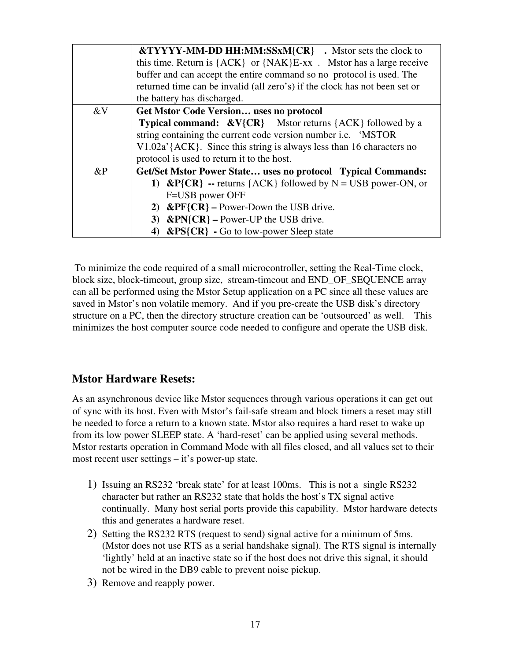|       | &TYYYY-MM-DD HH:MM:SSxM{CR}. Mstor sets the clock to                       |
|-------|----------------------------------------------------------------------------|
|       | this time. Return is ${ACK}$ or ${NAK}E$ -xx. Mstor has a large receive    |
|       | buffer and can accept the entire command so no protocol is used. The       |
|       | returned time can be invalid (all zero's) if the clock has not been set or |
|       | the battery has discharged.                                                |
| &V    | <b>Get Mstor Code Version uses no protocol</b>                             |
|       | <b>Typical command:</b> $&V{CR}$ Mstor returns ${ACK}$ followed by a       |
|       | string containing the current code version number i.e. 'MSTOR              |
|       | $V1.02a'$ {ACK}. Since this string is always less than 16 characters no    |
|       | protocol is used to return it to the host.                                 |
| $\&P$ | Get/Set Mstor Power State uses no protocol Typical Commands:               |
|       | $\&P{CR}$ - returns {ACK} followed by N = USB power-ON, or                 |
|       | F=USB power OFF                                                            |
|       | 2) $\&$ PF{CR} – Power-Down the USB drive.                                 |
|       | 3) $\&$ PN{CR} – Power-UP the USB drive.                                   |
|       | $\&$ PS{CR} - Go to low-power Sleep state<br>4)                            |

 To minimize the code required of a small microcontroller, setting the Real-Time clock, block size, block-timeout, group size, stream-timeout and END\_OF\_SEQUENCE array can all be performed using the Mstor Setup application on a PC since all these values are saved in Mstor's non volatile memory. And if you pre-create the USB disk's directory structure on a PC, then the directory structure creation can be 'outsourced' as well. This minimizes the host computer source code needed to configure and operate the USB disk.

# **Mstor Hardware Resets:**

As an asynchronous device like Mstor sequences through various operations it can get out of sync with its host. Even with Mstor's fail-safe stream and block timers a reset may still be needed to force a return to a known state. Mstor also requires a hard reset to wake up from its low power SLEEP state. A 'hard-reset' can be applied using several methods. Mstor restarts operation in Command Mode with all files closed, and all values set to their most recent user settings – it's power-up state.

- 1) Issuing an RS232 'break state' for at least 100ms. This is not a single RS232 character but rather an RS232 state that holds the host's TX signal active continually. Many host serial ports provide this capability. Mstor hardware detects this and generates a hardware reset.
- 2) Setting the RS232 RTS (request to send) signal active for a minimum of 5ms. (Mstor does not use RTS as a serial handshake signal). The RTS signal is internally 'lightly' held at an inactive state so if the host does not drive this signal, it should not be wired in the DB9 cable to prevent noise pickup.
- 3) Remove and reapply power.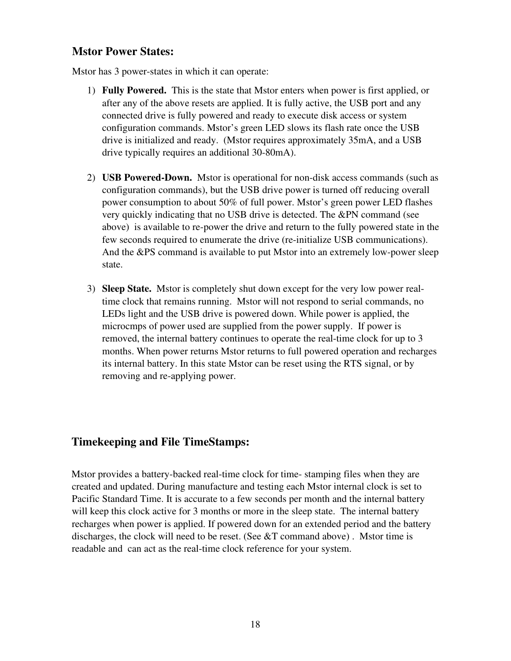#### **Mstor Power States:**

Mstor has 3 power-states in which it can operate:

- 1) **Fully Powered.** This is the state that Mstor enters when power is first applied, or after any of the above resets are applied. It is fully active, the USB port and any connected drive is fully powered and ready to execute disk access or system configuration commands. Mstor's green LED slows its flash rate once the USB drive is initialized and ready. (Mstor requires approximately 35mA, and a USB drive typically requires an additional 30-80mA).
- 2) **USB Powered-Down.** Mstor is operational for non-disk access commands (such as configuration commands), but the USB drive power is turned off reducing overall power consumption to about 50% of full power. Mstor's green power LED flashes very quickly indicating that no USB drive is detected. The &PN command (see above) is available to re-power the drive and return to the fully powered state in the few seconds required to enumerate the drive (re-initialize USB communications). And the &PS command is available to put Mstor into an extremely low-power sleep state.
- 3) **Sleep State.** Mstor is completely shut down except for the very low power realtime clock that remains running. Mstor will not respond to serial commands, no LEDs light and the USB drive is powered down. While power is applied, the microcmps of power used are supplied from the power supply. If power is removed, the internal battery continues to operate the real-time clock for up to 3 months. When power returns Mstor returns to full powered operation and recharges its internal battery. In this state Mstor can be reset using the RTS signal, or by removing and re-applying power.

# **Timekeeping and File TimeStamps:**

Mstor provides a battery-backed real-time clock for time- stamping files when they are created and updated. During manufacture and testing each Mstor internal clock is set to Pacific Standard Time. It is accurate to a few seconds per month and the internal battery will keep this clock active for 3 months or more in the sleep state. The internal battery recharges when power is applied. If powered down for an extended period and the battery discharges, the clock will need to be reset. (See  $&T$  command above). Mstor time is readable and can act as the real-time clock reference for your system.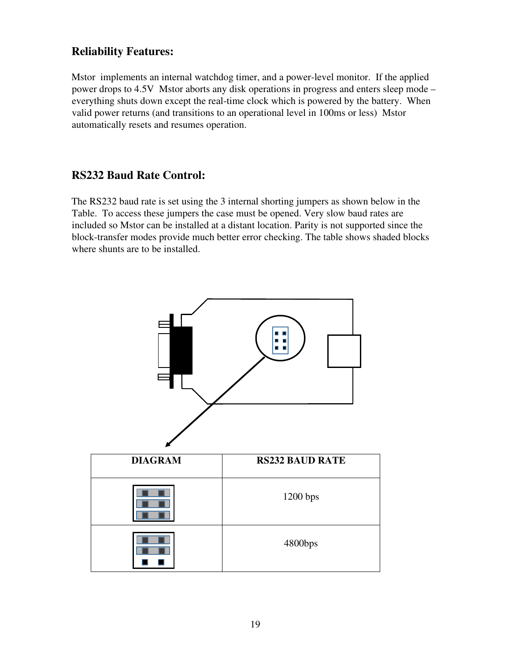# **Reliability Features:**

Mstor implements an internal watchdog timer, and a power-level monitor. If the applied power drops to 4.5V Mstor aborts any disk operations in progress and enters sleep mode – everything shuts down except the real-time clock which is powered by the battery. When valid power returns (and transitions to an operational level in 100ms or less) Mstor automatically resets and resumes operation.

# **RS232 Baud Rate Control:**

The RS232 baud rate is set using the 3 internal shorting jumpers as shown below in the Table. To access these jumpers the case must be opened. Very slow baud rates are included so Mstor can be installed at a distant location. Parity is not supported since the block-transfer modes provide much better error checking. The table shows shaded blocks where shunts are to be installed.

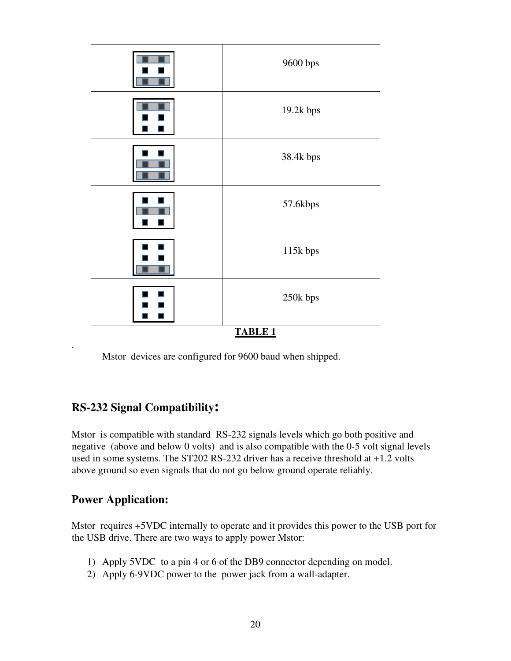

Mstor devices are configured for 9600 baud when shipped.

# **RS-232 Signal Compatibility:**

Mstor is compatible with standard RS-232 signals levels which go both positive and negative (above and below 0 volts) and is also compatible with the 0-5 volt signal levels used in some systems. The ST202 RS-232 driver has a receive threshold at +1.2 volts above ground so even signals that do not go below ground operate reliably.

# **Power Application:**

Mstor requires +5VDC internally to operate and it provides this power to the USB port for the USB drive. There are two ways to apply power Mstor:

- 1) Apply 5VDC to a pin 4 or 6 of the DB9 connector depending on model.
- 2) Apply 6-9VDC power to the power jack from a wall-adapter.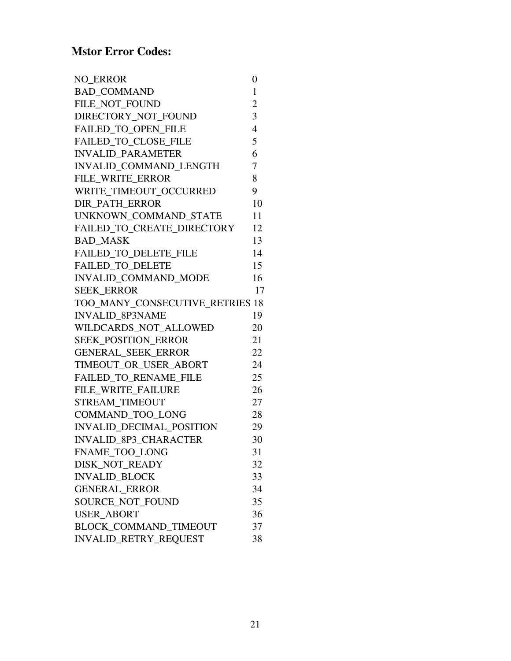| <b>NO_ERROR</b>                 | 0              |
|---------------------------------|----------------|
| <b>BAD COMMAND</b>              | 1              |
| FILE NOT FOUND                  | $\overline{2}$ |
| DIRECTORY NOT FOUND             | 3              |
| <b>FAILED TO OPEN FILE</b>      | $\overline{4}$ |
| <b>FAILED_TO_CLOSE_FILE</b>     | 5              |
| <b>INVALID_PARAMETER</b>        | 6              |
| <b>INVALID COMMAND LENGTH</b>   | 7              |
| FILE WRITE ERROR                | 8              |
| WRITE TIMEOUT OCCURRED          | 9              |
| <b>DIR PATH ERROR</b>           | 10             |
| UNKNOWN COMMAND STATE           | 11             |
| FAILED_TO_CREATE_DIRECTORY      | 12             |
| <b>BAD MASK</b>                 | 13             |
| <b>FAILED TO DELETE FILE</b>    | 14             |
| <b>FAILED_TO_DELETE</b>         | 15             |
| INVALID_COMMAND_MODE            | 16             |
| <b>SEEK ERROR</b>               | 17             |
| TOO_MANY_CONSECUTIVE_RETRIES 18 |                |
| <b>INVALID 8P3NAME</b>          | 19             |
| WILDCARDS NOT ALLOWED           | 20             |
| <b>SEEK POSITION ERROR</b>      | 21             |
| <b>GENERAL_SEEK_ERROR</b>       | 22             |
| TIMEOUT OR USER ABORT           | 24             |
| FAILED_TO_RENAME_FILE           | 25             |
| FILE_WRITE_FAILURE              | 26             |
| STREAM_TIMEOUT                  | 27             |
| <b>COMMAND TOO LONG</b>         | 28             |
| INVALID_DECIMAL_POSITION        | 29             |
| <b>INVALID 8P3 CHARACTER</b>    | 30             |
| FNAME_TOO_LONG                  | 31             |
| DISK_NOT_READY                  | 32             |
| <b>INVALID BLOCK</b>            | 33             |
| <b>GENERAL ERROR</b>            | 34             |
| SOURCE NOT FOUND                | 35             |
| <b>USER_ABORT</b>               | 36             |
| <b>BLOCK COMMAND TIMEOUT</b>    | 37             |
| INVALID_RETRY_REQUEST           | 38             |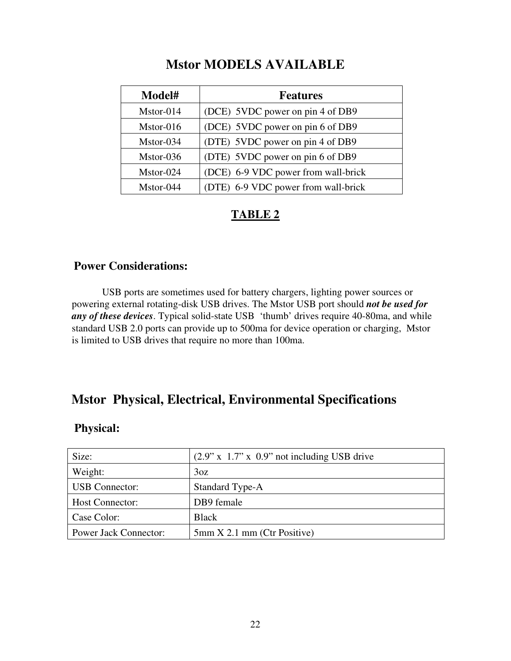# **Mstor MODELS AVAILABLE**

| Model#      | <b>Features</b>                     |
|-------------|-------------------------------------|
| $Mstor-014$ | (DCE) 5VDC power on pin 4 of DB9    |
| Mstor-016   | (DCE) 5VDC power on pin 6 of DB9    |
| Mstor-034   | (DTE) 5VDC power on pin 4 of DB9    |
| Mstor-036   | (DTE) 5VDC power on pin 6 of DB9    |
| Mstor-024   | (DCE) 6-9 VDC power from wall-brick |
| Mstor-044   | (DTE) 6-9 VDC power from wall-brick |

# **TABLE 2**

#### **Power Considerations:**

 USB ports are sometimes used for battery chargers, lighting power sources or powering external rotating-disk USB drives. The Mstor USB port should *not be used for any of these devices*. Typical solid-state USB 'thumb' drives require 40-80ma, and while standard USB 2.0 ports can provide up to 500ma for device operation or charging, Mstor is limited to USB drives that require no more than 100ma.

# **Mstor Physical, Electrical, Environmental Specifications**

#### **Physical:**

| Size:                        | $(2.9" \times 1.7" \times 0.9"$ not including USB drive |
|------------------------------|---------------------------------------------------------|
| Weight:                      | 3oz                                                     |
| <b>USB</b> Connector:        | Standard Type-A                                         |
| Host Connector:              | DB9 female                                              |
| Case Color:                  | <b>Black</b>                                            |
| <b>Power Jack Connector:</b> | $5mm X 2.1mm$ (Ctr Positive)                            |